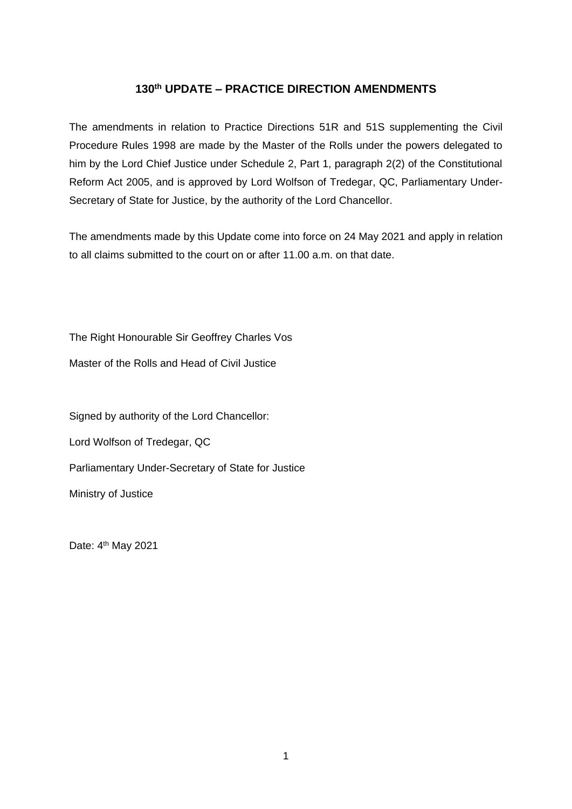# **130th UPDATE – PRACTICE DIRECTION AMENDMENTS**

The amendments in relation to Practice Directions 51R and 51S supplementing the Civil Procedure Rules 1998 are made by the Master of the Rolls under the powers delegated to him by the Lord Chief Justice under Schedule 2, Part 1, paragraph 2(2) of the Constitutional Reform Act 2005, and is approved by Lord Wolfson of Tredegar, QC, Parliamentary Under-Secretary of State for Justice, by the authority of the Lord Chancellor.

The amendments made by this Update come into force on 24 May 2021 and apply in relation to all claims submitted to the court on or after 11.00 a.m. on that date.

The Right Honourable Sir Geoffrey Charles Vos

Master of the Rolls and Head of Civil Justice

Signed by authority of the Lord Chancellor:

Lord Wolfson of Tredegar, QC

Parliamentary Under-Secretary of State for Justice

Ministry of Justice

Date: 4<sup>th</sup> May 2021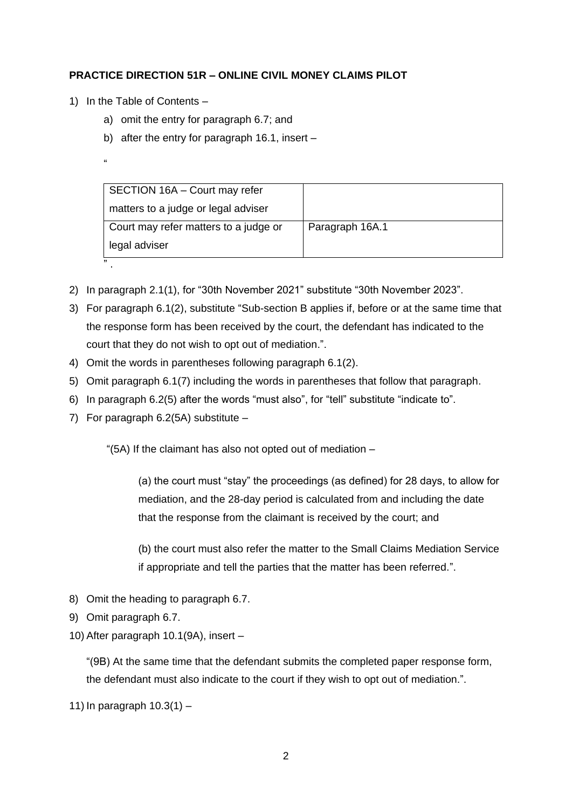## **PRACTICE DIRECTION 51R – ONLINE CIVIL MONEY CLAIMS PILOT**

- 1) In the Table of Contents
	- a) omit the entry for paragraph 6.7; and
	- b) after the entry for paragraph 16.1, insert –
	- "

| SECTION 16A - Court may refer         |                 |
|---------------------------------------|-----------------|
| matters to a judge or legal adviser   |                 |
| Court may refer matters to a judge or | Paragraph 16A.1 |
| legal adviser                         |                 |
| ,,                                    |                 |

- 2) In paragraph 2.1(1), for "30th November 2021" substitute "30th November 2023".
- 3) For paragraph 6.1(2), substitute "Sub-section B applies if, before or at the same time that the response form has been received by the court, the defendant has indicated to the court that they do not wish to opt out of mediation.".
- 4) Omit the words in parentheses following paragraph 6.1(2).
- 5) Omit paragraph 6.1(7) including the words in parentheses that follow that paragraph.
- 6) In paragraph 6.2(5) after the words "must also", for "tell" substitute "indicate to".
- 7) For paragraph 6.2(5A) substitute –

"(5A) If the claimant has also not opted out of mediation –

(a) the court must "stay" the proceedings (as defined) for 28 days, to allow for mediation, and the 28-day period is calculated from and including the date that the response from the claimant is received by the court; and

(b) the court must also refer the matter to the Small Claims Mediation Service if appropriate and tell the parties that the matter has been referred.".

- 8) Omit the heading to paragraph 6.7.
- 9) Omit paragraph 6.7.
- 10) After paragraph 10.1(9A), insert –

"(9B) At the same time that the defendant submits the completed paper response form, the defendant must also indicate to the court if they wish to opt out of mediation.".

11) In paragraph 10.3(1) –